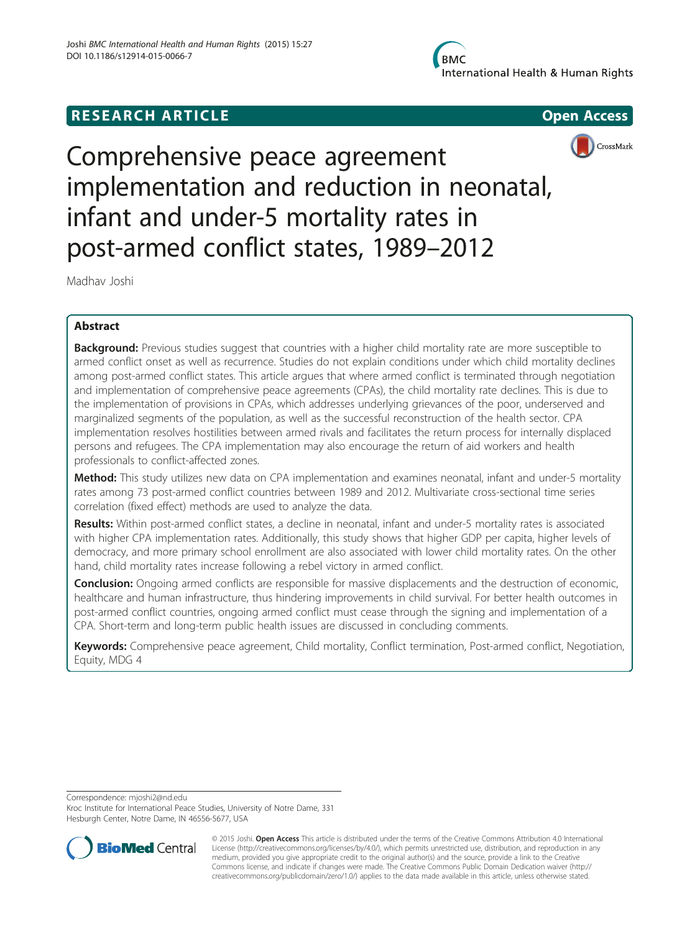# **RESEARCH ARTICLE Example 2014 12:30 The SEAR CH ACCESS**





Comprehensive peace agreement implementation and reduction in neonatal, infant and under-5 mortality rates in post-armed conflict states, 1989–2012

Madhav Joshi

## Abstract

**Background:** Previous studies suggest that countries with a higher child mortality rate are more susceptible to armed conflict onset as well as recurrence. Studies do not explain conditions under which child mortality declines among post-armed conflict states. This article argues that where armed conflict is terminated through negotiation and implementation of comprehensive peace agreements (CPAs), the child mortality rate declines. This is due to the implementation of provisions in CPAs, which addresses underlying grievances of the poor, underserved and marginalized segments of the population, as well as the successful reconstruction of the health sector. CPA implementation resolves hostilities between armed rivals and facilitates the return process for internally displaced persons and refugees. The CPA implementation may also encourage the return of aid workers and health professionals to conflict-affected zones.

Method: This study utilizes new data on CPA implementation and examines neonatal, infant and under-5 mortality rates among 73 post-armed conflict countries between 1989 and 2012. Multivariate cross-sectional time series correlation (fixed effect) methods are used to analyze the data.

Results: Within post-armed conflict states, a decline in neonatal, infant and under-5 mortality rates is associated with higher CPA implementation rates. Additionally, this study shows that higher GDP per capita, higher levels of democracy, and more primary school enrollment are also associated with lower child mortality rates. On the other hand, child mortality rates increase following a rebel victory in armed conflict.

**Conclusion:** Ongoing armed conflicts are responsible for massive displacements and the destruction of economic, healthcare and human infrastructure, thus hindering improvements in child survival. For better health outcomes in post-armed conflict countries, ongoing armed conflict must cease through the signing and implementation of a CPA. Short-term and long-term public health issues are discussed in concluding comments.

Keywords: Comprehensive peace agreement, Child mortality, Conflict termination, Post-armed conflict, Negotiation, Equity, MDG 4

Correspondence: [mjoshi2@nd.edu](mailto:mjoshi2@nd.edu)

Kroc Institute for International Peace Studies, University of Notre Dame, 331 Hesburgh Center, Notre Dame, IN 46556-5677, USA



© 2015 Joshi. Open Access This article is distributed under the terms of the Creative Commons Attribution 4.0 International License ([http://creativecommons.org/licenses/by/4.0/\)](http://creativecommons.org/licenses/by/4.0/), which permits unrestricted use, distribution, and reproduction in any medium, provided you give appropriate credit to the original author(s) and the source, provide a link to the Creative Commons license, and indicate if changes were made. The Creative Commons Public Domain Dedication waiver ([http://](http://creativecommons.org/publicdomain/zero/1.0/) [creativecommons.org/publicdomain/zero/1.0/\)](http://creativecommons.org/publicdomain/zero/1.0/) applies to the data made available in this article, unless otherwise stated.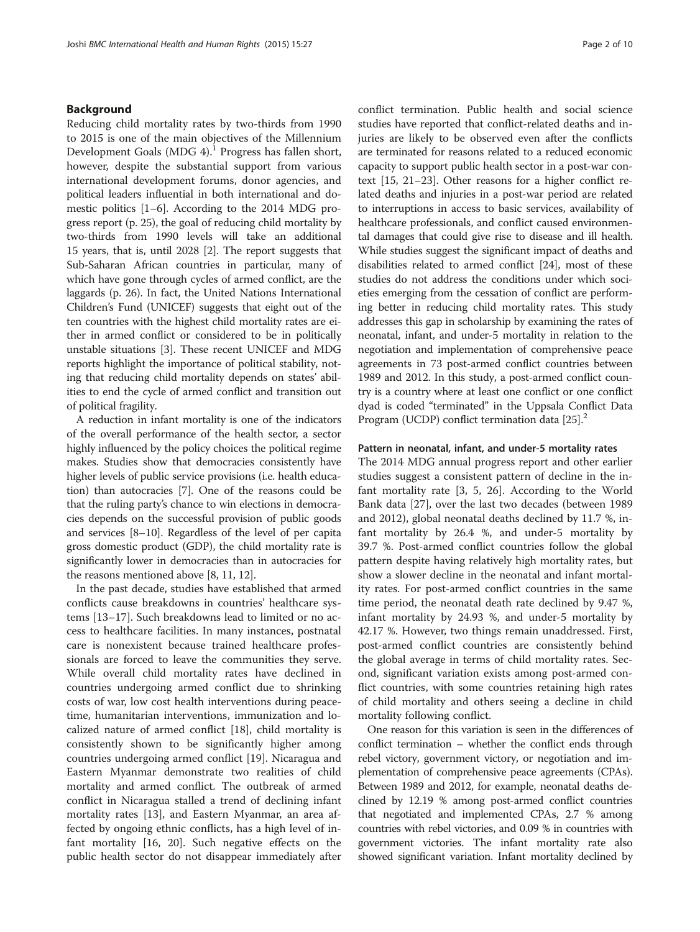## Background

Reducing child mortality rates by two-thirds from 1990 to 2015 is one of the main objectives of the Millennium Development Goals (MDG 4).<sup>1</sup> Progress has fallen short, however, despite the substantial support from various international development forums, donor agencies, and political leaders influential in both international and domestic politics [[1](#page-8-0)–[6](#page-8-0)]. According to the 2014 MDG progress report (p. 25), the goal of reducing child mortality by two-thirds from 1990 levels will take an additional 15 years, that is, until 2028 [\[2](#page-8-0)]. The report suggests that Sub-Saharan African countries in particular, many of which have gone through cycles of armed conflict, are the laggards (p. 26). In fact, the United Nations International Children's Fund (UNICEF) suggests that eight out of the ten countries with the highest child mortality rates are either in armed conflict or considered to be in politically unstable situations [\[3](#page-8-0)]. These recent UNICEF and MDG reports highlight the importance of political stability, noting that reducing child mortality depends on states' abilities to end the cycle of armed conflict and transition out of political fragility.

A reduction in infant mortality is one of the indicators of the overall performance of the health sector, a sector highly influenced by the policy choices the political regime makes. Studies show that democracies consistently have higher levels of public service provisions (i.e. health education) than autocracies [[7](#page-8-0)]. One of the reasons could be that the ruling party's chance to win elections in democracies depends on the successful provision of public goods and services [\[8](#page-8-0)–[10\]](#page-8-0). Regardless of the level of per capita gross domestic product (GDP), the child mortality rate is significantly lower in democracies than in autocracies for the reasons mentioned above [\[8](#page-8-0), [11](#page-8-0), [12\]](#page-8-0).

In the past decade, studies have established that armed conflicts cause breakdowns in countries' healthcare systems [\[13](#page-8-0)–[17\]](#page-8-0). Such breakdowns lead to limited or no access to healthcare facilities. In many instances, postnatal care is nonexistent because trained healthcare professionals are forced to leave the communities they serve. While overall child mortality rates have declined in countries undergoing armed conflict due to shrinking costs of war, low cost health interventions during peacetime, humanitarian interventions, immunization and localized nature of armed conflict [\[18](#page-8-0)], child mortality is consistently shown to be significantly higher among countries undergoing armed conflict [[19\]](#page-8-0). Nicaragua and Eastern Myanmar demonstrate two realities of child mortality and armed conflict. The outbreak of armed conflict in Nicaragua stalled a trend of declining infant mortality rates [\[13](#page-8-0)], and Eastern Myanmar, an area affected by ongoing ethnic conflicts, has a high level of infant mortality [[16, 20\]](#page-8-0). Such negative effects on the public health sector do not disappear immediately after conflict termination. Public health and social science studies have reported that conflict-related deaths and injuries are likely to be observed even after the conflicts are terminated for reasons related to a reduced economic capacity to support public health sector in a post-war context [\[15, 21](#page-8-0)–[23](#page-8-0)]. Other reasons for a higher conflict related deaths and injuries in a post-war period are related to interruptions in access to basic services, availability of healthcare professionals, and conflict caused environmental damages that could give rise to disease and ill health. While studies suggest the significant impact of deaths and disabilities related to armed conflict [\[24\]](#page-8-0), most of these studies do not address the conditions under which societies emerging from the cessation of conflict are performing better in reducing child mortality rates. This study addresses this gap in scholarship by examining the rates of neonatal, infant, and under-5 mortality in relation to the negotiation and implementation of comprehensive peace agreements in 73 post-armed conflict countries between 1989 and 2012. In this study, a post-armed conflict country is a country where at least one conflict or one conflict dyad is coded "terminated" in the Uppsala Conflict Data Program (UCDP) conflict termination data  $[25]$  $[25]$  $[25]$ <sup>2</sup>

## Pattern in neonatal, infant, and under-5 mortality rates

The 2014 MDG annual progress report and other earlier studies suggest a consistent pattern of decline in the infant mortality rate [[3, 5, 26](#page-8-0)]. According to the World Bank data [\[27](#page-8-0)], over the last two decades (between 1989 and 2012), global neonatal deaths declined by 11.7 %, infant mortality by 26.4 %, and under-5 mortality by 39.7 %. Post-armed conflict countries follow the global pattern despite having relatively high mortality rates, but show a slower decline in the neonatal and infant mortality rates. For post-armed conflict countries in the same time period, the neonatal death rate declined by 9.47 %, infant mortality by 24.93 %, and under-5 mortality by 42.17 %. However, two things remain unaddressed. First, post-armed conflict countries are consistently behind the global average in terms of child mortality rates. Second, significant variation exists among post-armed conflict countries, with some countries retaining high rates of child mortality and others seeing a decline in child mortality following conflict.

One reason for this variation is seen in the differences of conflict termination – whether the conflict ends through rebel victory, government victory, or negotiation and implementation of comprehensive peace agreements (CPAs). Between 1989 and 2012, for example, neonatal deaths declined by 12.19 % among post-armed conflict countries that negotiated and implemented CPAs, 2.7 % among countries with rebel victories, and 0.09 % in countries with government victories. The infant mortality rate also showed significant variation. Infant mortality declined by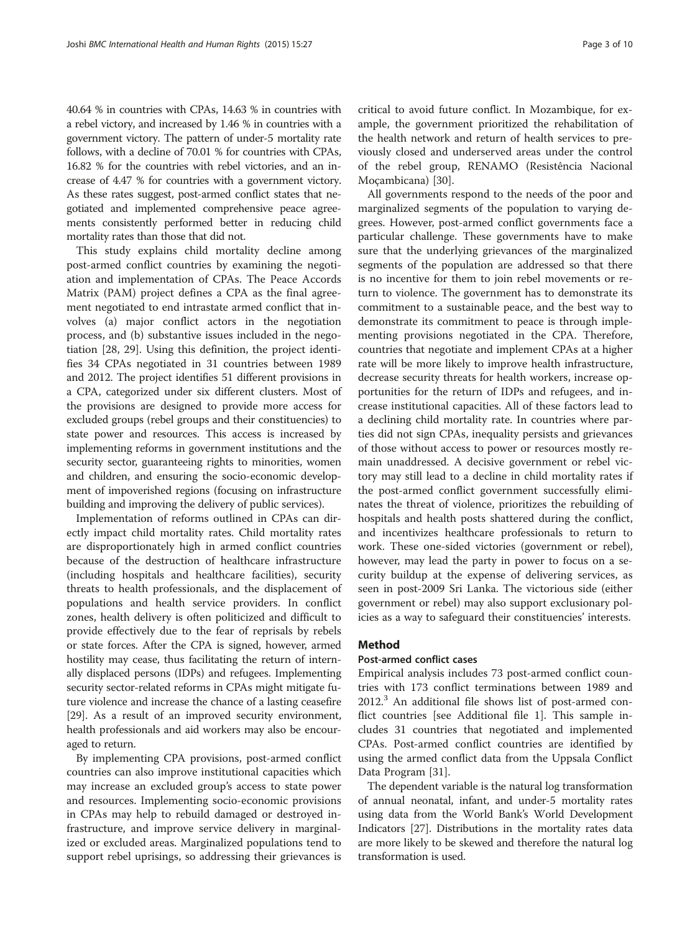40.64 % in countries with CPAs, 14.63 % in countries with a rebel victory, and increased by 1.46 % in countries with a government victory. The pattern of under-5 mortality rate follows, with a decline of 70.01 % for countries with CPAs, 16.82 % for the countries with rebel victories, and an increase of 4.47 % for countries with a government victory. As these rates suggest, post-armed conflict states that negotiated and implemented comprehensive peace agreements consistently performed better in reducing child mortality rates than those that did not.

This study explains child mortality decline among post-armed conflict countries by examining the negotiation and implementation of CPAs. The Peace Accords Matrix (PAM) project defines a CPA as the final agreement negotiated to end intrastate armed conflict that involves (a) major conflict actors in the negotiation process, and (b) substantive issues included in the negotiation [[28, 29](#page-8-0)]. Using this definition, the project identifies 34 CPAs negotiated in 31 countries between 1989 and 2012. The project identifies 51 different provisions in a CPA, categorized under six different clusters. Most of the provisions are designed to provide more access for excluded groups (rebel groups and their constituencies) to state power and resources. This access is increased by implementing reforms in government institutions and the security sector, guaranteeing rights to minorities, women and children, and ensuring the socio-economic development of impoverished regions (focusing on infrastructure building and improving the delivery of public services).

Implementation of reforms outlined in CPAs can directly impact child mortality rates. Child mortality rates are disproportionately high in armed conflict countries because of the destruction of healthcare infrastructure (including hospitals and healthcare facilities), security threats to health professionals, and the displacement of populations and health service providers. In conflict zones, health delivery is often politicized and difficult to provide effectively due to the fear of reprisals by rebels or state forces. After the CPA is signed, however, armed hostility may cease, thus facilitating the return of internally displaced persons (IDPs) and refugees. Implementing security sector-related reforms in CPAs might mitigate future violence and increase the chance of a lasting ceasefire [[29](#page-8-0)]. As a result of an improved security environment, health professionals and aid workers may also be encouraged to return.

By implementing CPA provisions, post-armed conflict countries can also improve institutional capacities which may increase an excluded group's access to state power and resources. Implementing socio-economic provisions in CPAs may help to rebuild damaged or destroyed infrastructure, and improve service delivery in marginalized or excluded areas. Marginalized populations tend to support rebel uprisings, so addressing their grievances is

critical to avoid future conflict. In Mozambique, for example, the government prioritized the rehabilitation of the health network and return of health services to previously closed and underserved areas under the control of the rebel group, RENAMO (Resistência Nacional Moçambicana) [\[30](#page-8-0)].

All governments respond to the needs of the poor and marginalized segments of the population to varying degrees. However, post-armed conflict governments face a particular challenge. These governments have to make sure that the underlying grievances of the marginalized segments of the population are addressed so that there is no incentive for them to join rebel movements or return to violence. The government has to demonstrate its commitment to a sustainable peace, and the best way to demonstrate its commitment to peace is through implementing provisions negotiated in the CPA. Therefore, countries that negotiate and implement CPAs at a higher rate will be more likely to improve health infrastructure, decrease security threats for health workers, increase opportunities for the return of IDPs and refugees, and increase institutional capacities. All of these factors lead to a declining child mortality rate. In countries where parties did not sign CPAs, inequality persists and grievances of those without access to power or resources mostly remain unaddressed. A decisive government or rebel victory may still lead to a decline in child mortality rates if the post-armed conflict government successfully eliminates the threat of violence, prioritizes the rebuilding of hospitals and health posts shattered during the conflict, and incentivizes healthcare professionals to return to work. These one-sided victories (government or rebel), however, may lead the party in power to focus on a security buildup at the expense of delivering services, as seen in post-2009 Sri Lanka. The victorious side (either government or rebel) may also support exclusionary policies as a way to safeguard their constituencies' interests.

## Method

## Post-armed conflict cases

Empirical analysis includes 73 post-armed conflict countries with 173 conflict terminations between 1989 and 2012.<sup>3</sup> An additional file shows list of post-armed conflict countries [see Additional file [1\]](#page-8-0). This sample includes 31 countries that negotiated and implemented CPAs. Post-armed conflict countries are identified by using the armed conflict data from the Uppsala Conflict Data Program [\[31\]](#page-8-0).

The dependent variable is the natural log transformation of annual neonatal, infant, and under-5 mortality rates using data from the World Bank's World Development Indicators [\[27](#page-8-0)]. Distributions in the mortality rates data are more likely to be skewed and therefore the natural log transformation is used.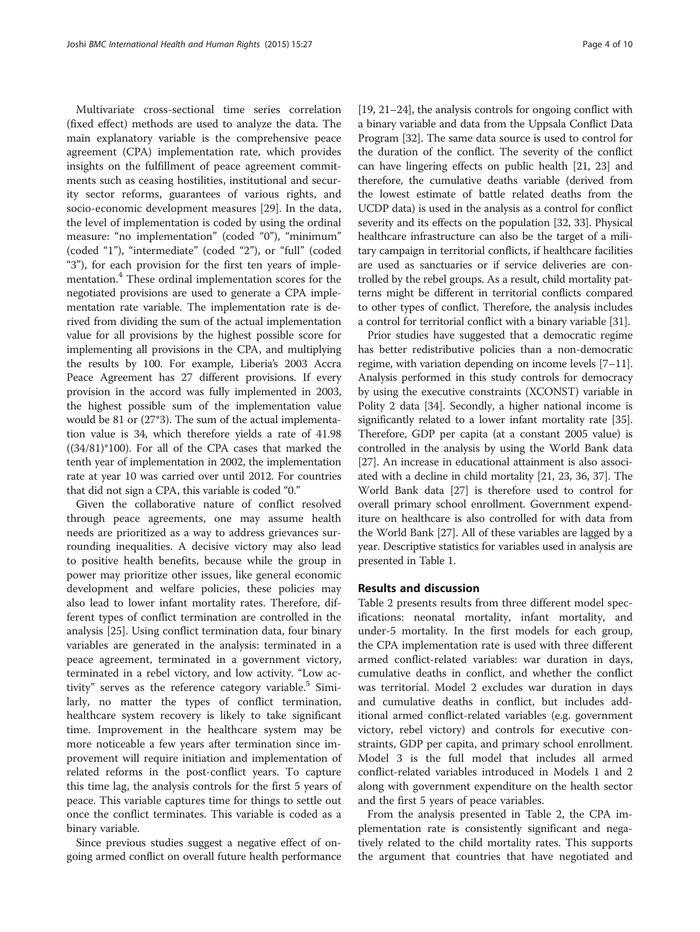Multivariate cross-sectional time series correlation (fixed effect) methods are used to analyze the data. The main explanatory variable is the comprehensive peace agreement (CPA) implementation rate, which provides insights on the fulfillment of peace agreement commitments such as ceasing hostilities, institutional and security sector reforms, guarantees of various rights, and socio-economic development measures [[29](#page-8-0)]. In the data, the level of implementation is coded by using the ordinal measure: "no implementation" (coded "0"), "minimum" (coded "1"), "intermediate" (coded "2"), or "full" (coded "3"), for each provision for the first ten years of implementation.<sup>4</sup> These ordinal implementation scores for the negotiated provisions are used to generate a CPA implementation rate variable. The implementation rate is derived from dividing the sum of the actual implementation value for all provisions by the highest possible score for implementing all provisions in the CPA, and multiplying the results by 100. For example, Liberia's 2003 Accra Peace Agreement has 27 different provisions. If every provision in the accord was fully implemented in 2003, the highest possible sum of the implementation value would be 81 or (27\*3). The sum of the actual implementation value is 34, which therefore yields a rate of 41.98  $((34/81)*100)$ . For all of the CPA cases that marked the tenth year of implementation in 2002, the implementation rate at year 10 was carried over until 2012. For countries that did not sign a CPA, this variable is coded "0."

Given the collaborative nature of conflict resolved through peace agreements, one may assume health needs are prioritized as a way to address grievances surrounding inequalities. A decisive victory may also lead to positive health benefits, because while the group in power may prioritize other issues, like general economic development and welfare policies, these policies may also lead to lower infant mortality rates. Therefore, different types of conflict termination are controlled in the analysis [\[25\]](#page-8-0). Using conflict termination data, four binary variables are generated in the analysis: terminated in a peace agreement, terminated in a government victory, terminated in a rebel victory, and low activity. "Low activity" serves as the reference category variable.<sup>5</sup> Similarly, no matter the types of conflict termination, healthcare system recovery is likely to take significant time. Improvement in the healthcare system may be more noticeable a few years after termination since improvement will require initiation and implementation of related reforms in the post-conflict years. To capture this time lag, the analysis controls for the first 5 years of peace. This variable captures time for things to settle out once the conflict terminates. This variable is coded as a binary variable.

Since previous studies suggest a negative effect of ongoing armed conflict on overall future health performance [[19](#page-8-0), [21](#page-8-0)–[24](#page-8-0)], the analysis controls for ongoing conflict with a binary variable and data from the Uppsala Conflict Data Program [\[32](#page-8-0)]. The same data source is used to control for the duration of the conflict. The severity of the conflict can have lingering effects on public health [[21](#page-8-0), [23](#page-8-0)] and therefore, the cumulative deaths variable (derived from the lowest estimate of battle related deaths from the UCDP data) is used in the analysis as a control for conflict severity and its effects on the population [\[32, 33](#page-8-0)]. Physical healthcare infrastructure can also be the target of a military campaign in territorial conflicts, if healthcare facilities are used as sanctuaries or if service deliveries are controlled by the rebel groups. As a result, child mortality patterns might be different in territorial conflicts compared to other types of conflict. Therefore, the analysis includes a control for territorial conflict with a binary variable [[31](#page-8-0)].

Prior studies have suggested that a democratic regime has better redistributive policies than a non-democratic regime, with variation depending on income levels [\[7](#page-8-0)–[11](#page-8-0)]. Analysis performed in this study controls for democracy by using the executive constraints (XCONST) variable in Polity 2 data [\[34\]](#page-8-0). Secondly, a higher national income is significantly related to a lower infant mortality rate [[35](#page-8-0)]. Therefore, GDP per capita (at a constant 2005 value) is controlled in the analysis by using the World Bank data [[27](#page-8-0)]. An increase in educational attainment is also associated with a decline in child mortality [\[21, 23, 36, 37](#page-8-0)]. The World Bank data [\[27\]](#page-8-0) is therefore used to control for overall primary school enrollment. Government expenditure on healthcare is also controlled for with data from the World Bank [\[27\]](#page-8-0). All of these variables are lagged by a year. Descriptive statistics for variables used in analysis are presented in Table [1.](#page-4-0)

## Results and discussion

Table [2](#page-5-0) presents results from three different model specifications: neonatal mortality, infant mortality, and under-5 mortality. In the first models for each group, the CPA implementation rate is used with three different armed conflict-related variables: war duration in days, cumulative deaths in conflict, and whether the conflict was territorial. Model 2 excludes war duration in days and cumulative deaths in conflict, but includes additional armed conflict-related variables (e.g. government victory, rebel victory) and controls for executive constraints, GDP per capita, and primary school enrollment. Model 3 is the full model that includes all armed conflict-related variables introduced in Models 1 and 2 along with government expenditure on the health sector and the first 5 years of peace variables.

From the analysis presented in Table [2](#page-5-0), the CPA implementation rate is consistently significant and negatively related to the child mortality rates. This supports the argument that countries that have negotiated and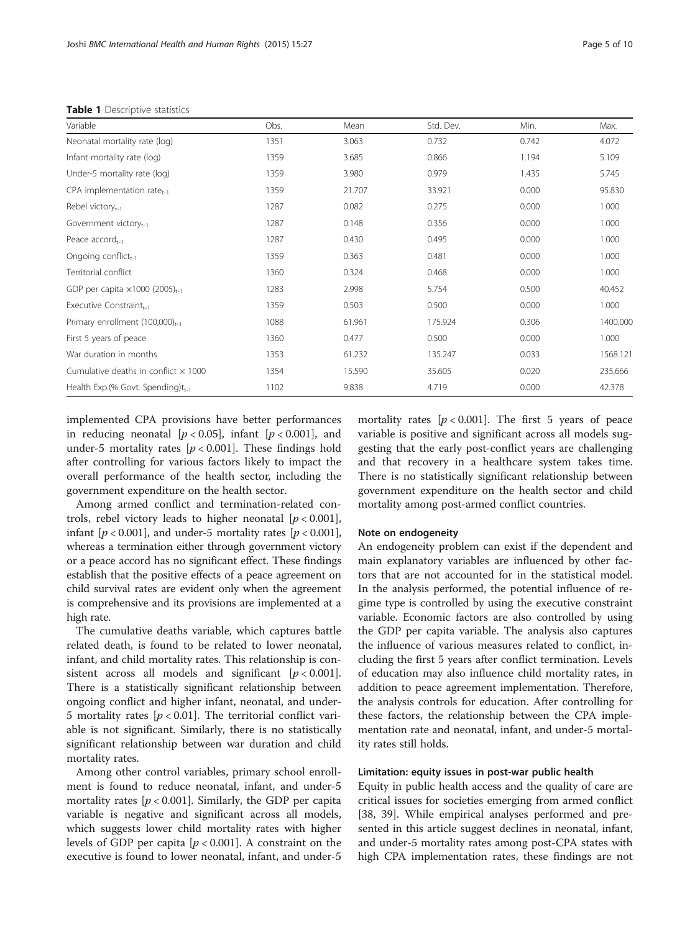<span id="page-4-0"></span>

|  |  | <b>Table 1</b> Descriptive statistics |  |
|--|--|---------------------------------------|--|
|--|--|---------------------------------------|--|

| Variable                                           | Obs. | Mean   | Std. Dev. | Min.  | Max.     |
|----------------------------------------------------|------|--------|-----------|-------|----------|
| Neonatal mortality rate (log)                      | 1351 | 3.063  | 0.732     | 0.742 | 4.072    |
| Infant mortality rate (log)                        | 1359 | 3.685  | 0.866     | 1.194 | 5.109    |
| Under-5 mortality rate (log)                       | 1359 | 3.980  | 0.979     | 1.435 | 5.745    |
| CPA implementation rate $_{t-1}$                   | 1359 | 21.707 | 33.921    | 0.000 | 95.830   |
| Rebel victory $_{t-1}$                             | 1287 | 0.082  | 0.275     | 0.000 | 1.000    |
| Government victory <sub>t-1</sub>                  | 1287 | 0.148  | 0.356     | 0.000 | 1.000    |
| Peace $accord_{t-1}$                               | 1287 | 0.430  | 0.495     | 0.000 | 1.000    |
| Ongoing conflict <sub>t-1</sub>                    | 1359 | 0.363  | 0.481     | 0.000 | 1.000    |
| Territorial conflict                               | 1360 | 0.324  | 0.468     | 0.000 | 1.000    |
| GDP per capita $\times$ 1000 (2005) <sub>t-1</sub> | 1283 | 2.998  | 5.754     | 0.500 | 40.452   |
| Executive Constraint <sub>+-1</sub>                | 1359 | 0.503  | 0.500     | 0.000 | 1.000    |
| Primary enrollment $(100,000)_{t-1}$               | 1088 | 61.961 | 175.924   | 0.306 | 1400.000 |
| First 5 years of peace                             | 1360 | 0.477  | 0.500     | 0.000 | 1.000    |
| War duration in months                             | 1353 | 61.232 | 135.247   | 0.033 | 1568.121 |
| Cumulative deaths in conflict $\times$ 1000        | 1354 | 15.590 | 35.605    | 0.020 | 235.666  |
| Health Exp.(% Govt. Spending) $t_{t-1}$            | 1102 | 9.838  | 4.719     | 0.000 | 42.378   |

implemented CPA provisions have better performances in reducing neonatal  $[p < 0.05]$ , infant  $[p < 0.001]$ , and under-5 mortality rates  $[p < 0.001]$ . These findings hold after controlling for various factors likely to impact the overall performance of the health sector, including the government expenditure on the health sector.

Among armed conflict and termination-related controls, rebel victory leads to higher neonatal  $[p < 0.001]$ , infant  $[p < 0.001]$ , and under-5 mortality rates  $[p < 0.001]$ , whereas a termination either through government victory or a peace accord has no significant effect. These findings establish that the positive effects of a peace agreement on child survival rates are evident only when the agreement is comprehensive and its provisions are implemented at a high rate.

The cumulative deaths variable, which captures battle related death, is found to be related to lower neonatal, infant, and child mortality rates. This relationship is consistent across all models and significant  $[p < 0.001]$ . There is a statistically significant relationship between ongoing conflict and higher infant, neonatal, and under-5 mortality rates  $[p < 0.01]$ . The territorial conflict variable is not significant. Similarly, there is no statistically significant relationship between war duration and child mortality rates.

Among other control variables, primary school enrollment is found to reduce neonatal, infant, and under-5 mortality rates  $[p < 0.001]$ . Similarly, the GDP per capita variable is negative and significant across all models, which suggests lower child mortality rates with higher levels of GDP per capita  $[p < 0.001]$ . A constraint on the executive is found to lower neonatal, infant, and under-5 mortality rates  $[p < 0.001]$ . The first 5 years of peace variable is positive and significant across all models suggesting that the early post-conflict years are challenging and that recovery in a healthcare system takes time. There is no statistically significant relationship between government expenditure on the health sector and child mortality among post-armed conflict countries.

### Note on endogeneity

An endogeneity problem can exist if the dependent and main explanatory variables are influenced by other factors that are not accounted for in the statistical model. In the analysis performed, the potential influence of regime type is controlled by using the executive constraint variable. Economic factors are also controlled by using the GDP per capita variable. The analysis also captures the influence of various measures related to conflict, including the first 5 years after conflict termination. Levels of education may also influence child mortality rates, in addition to peace agreement implementation. Therefore, the analysis controls for education. After controlling for these factors, the relationship between the CPA implementation rate and neonatal, infant, and under-5 mortality rates still holds.

## Limitation: equity issues in post-war public health

Equity in public health access and the quality of care are critical issues for societies emerging from armed conflict [[38, 39](#page-8-0)]. While empirical analyses performed and presented in this article suggest declines in neonatal, infant, and under-5 mortality rates among post-CPA states with high CPA implementation rates, these findings are not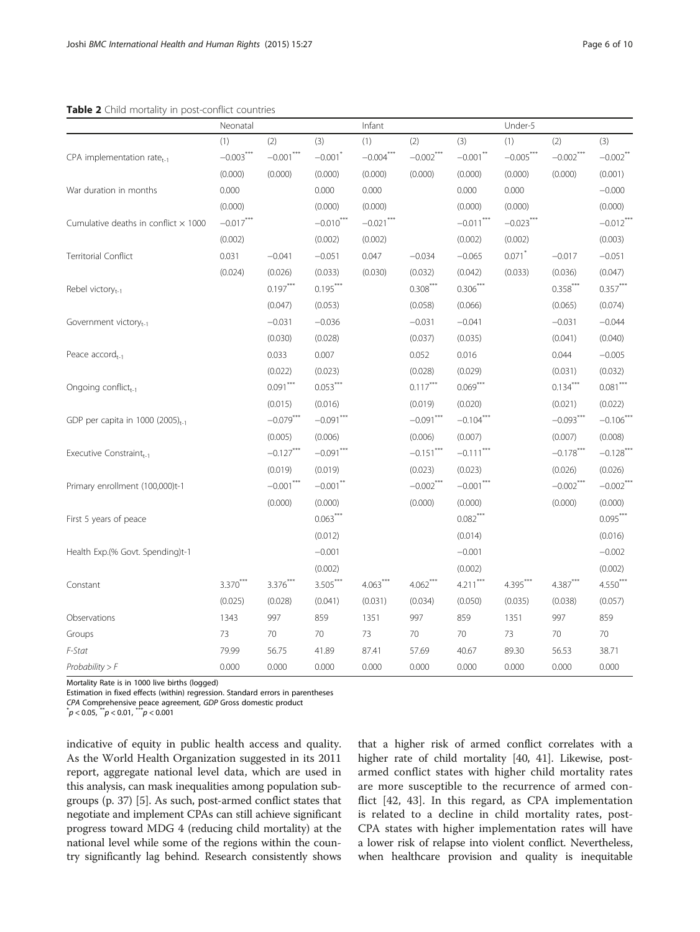### <span id="page-5-0"></span>Table 2 Child mortality in post-conflict countries

|                                              | Neonatal    |              |                         | Infant       |              |              | Under-5     |              |              |
|----------------------------------------------|-------------|--------------|-------------------------|--------------|--------------|--------------|-------------|--------------|--------------|
|                                              | (1)         | (2)          | (3)                     | (1)          | (2)          | (3)          | (1)         | (2)          | (3)          |
| CPA implementation rate <sub>t-1</sub>       | $-0.003***$ | $-0.001***$  | $-0.001$                | $-0.004***$  | $-0.002$ *** | $-0.001$ **  | $-0.005***$ | $-0.002$ *** | $-0.002$ **  |
|                                              | (0.000)     | (0.000)      | (0.000)                 | (0.000)      | (0.000)      | (0.000)      | (0.000)     | (0.000)      | (0.001)      |
| War duration in months                       | 0.000       |              | 0.000                   | 0.000        |              | 0.000        | 0.000       |              | $-0.000$     |
|                                              | (0.000)     |              | (0.000)                 | (0.000)      |              | (0.000)      | (0.000)     |              | (0.000)      |
| Cumulative deaths in conflict $\times$ 1000  | $-0.017***$ |              | $-0.010***$             | $-0.021$ *** |              | $-0.011***$  | $-0.023***$ |              | $-0.012***$  |
|                                              | (0.002)     |              | (0.002)                 | (0.002)      |              | (0.002)      | (0.002)     |              | (0.003)      |
| Territorial Conflict                         | 0.031       | $-0.041$     | $-0.051$                | 0.047        | $-0.034$     | $-0.065$     | 0.071       | $-0.017$     | $-0.051$     |
|                                              | (0.024)     | (0.026)      | (0.033)                 | (0.030)      | (0.032)      | (0.042)      | (0.033)     | (0.036)      | (0.047)      |
| Rebel victory <sub>t-1</sub>                 |             | $0.197***$   | $0.195***$              |              | $0.308***$   | $0.306***$   |             | $0.358***$   | $0.357***$   |
|                                              |             | (0.047)      | (0.053)                 |              | (0.058)      | (0.066)      |             | (0.065)      | (0.074)      |
| Government victory <sub>t-1</sub>            |             | $-0.031$     | $-0.036$                |              | $-0.031$     | $-0.041$     |             | $-0.031$     | $-0.044$     |
|                                              |             | (0.030)      | (0.028)                 |              | (0.037)      | (0.035)      |             | (0.041)      | (0.040)      |
| Peace $accord_{t-1}$                         |             | 0.033        | 0.007                   |              | 0.052        | 0.016        |             | 0.044        | $-0.005$     |
|                                              |             | (0.022)      | (0.023)                 |              | (0.028)      | (0.029)      |             | (0.031)      | (0.032)      |
| Ongoing conflict <sub>t-1</sub>              |             | $0.091***$   | $0.053***$              |              | $0.117***$   | $0.069***$   |             | $0.134***$   | $0.081***$   |
|                                              |             | (0.015)      | (0.016)                 |              | (0.019)      | (0.020)      |             | (0.021)      | (0.022)      |
| GDP per capita in 1000 (2005) <sub>t-1</sub> |             | $-0.079***$  | $-0.091***$             |              | $-0.091$ *** | $-0.104***$  |             | $-0.093***$  | $-0.106***$  |
|                                              |             | (0.005)      | (0.006)                 |              | (0.006)      | (0.007)      |             | (0.007)      | (0.008)      |
| Executive Constraint <sub>t-1</sub>          |             | $-0.127***$  | $-0.091***$             |              | $-0.151***$  | $-0.111***$  |             | $-0.178***$  | $-0.128***$  |
|                                              |             | (0.019)      | (0.019)                 |              | (0.023)      | (0.023)      |             | (0.026)      | (0.026)      |
| Primary enrollment (100,000)t-1              |             | $-0.001$ *** | $-0.001$ <sup>***</sup> |              | $-0.002$ *** | $-0.001$ *** |             | $-0.002$ **  | $-0.002$ *** |
|                                              |             | (0.000)      | (0.000)                 |              | (0.000)      | (0.000)      |             | (0.000)      | (0.000)      |
| First 5 years of peace                       |             |              | $0.063***$              |              |              | $0.082***$   |             |              | $0.095***$   |
|                                              |             |              | (0.012)                 |              |              | (0.014)      |             |              | (0.016)      |
| Health Exp.(% Govt. Spending)t-1             |             |              | $-0.001$                |              |              | $-0.001$     |             |              | $-0.002$     |
|                                              |             |              | (0.002)                 |              |              | (0.002)      |             |              | (0.002)      |
| Constant                                     | $3.370***$  | $3.376***$   | $3.505***$              | $4.063***$   | $4.062***$   | $4.211***$   | $4.395***$  | $4.387***$   | $4.550***$   |
|                                              | (0.025)     | (0.028)      | (0.041)                 | (0.031)      | (0.034)      | (0.050)      | (0.035)     | (0.038)      | (0.057)      |
| Observations                                 | 1343        | 997          | 859                     | 1351         | 997          | 859          | 1351        | 997          | 859          |
| Groups                                       | 73          | 70           | 70                      | 73           | 70           | 70           | 73          | 70           | 70           |
| F-Stat                                       | 79.99       | 56.75        | 41.89                   | 87.41        | 57.69        | 40.67        | 89.30       | 56.53        | 38.71        |
| Probability > F                              | 0.000       | 0.000        | 0.000                   | 0.000        | 0.000        | 0.000        | 0.000       | 0.000        | 0.000        |

Mortality Rate is in 1000 live births (logged)

Estimation in fixed effects (within) regression. Standard errors in parentheses

*CPA* Comprehensive peace agreement, *GDP* Gross domestic product  $\bar{\rho}$  < 0.05,  $\bar{\ }^*p$  < 0.01,  $\bar{\ }^*p$  < 0.001

indicative of equity in public health access and quality. As the World Health Organization suggested in its 2011 report, aggregate national level data, which are used in this analysis, can mask inequalities among population subgroups (p. 37) [[5](#page-8-0)]. As such, post-armed conflict states that negotiate and implement CPAs can still achieve significant progress toward MDG 4 (reducing child mortality) at the national level while some of the regions within the country significantly lag behind. Research consistently shows

that a higher risk of armed conflict correlates with a higher rate of child mortality [\[40, 41](#page-8-0)]. Likewise, postarmed conflict states with higher child mortality rates are more susceptible to the recurrence of armed conflict [[42](#page-8-0), [43](#page-8-0)]. In this regard, as CPA implementation is related to a decline in child mortality rates, post-CPA states with higher implementation rates will have a lower risk of relapse into violent conflict. Nevertheless, when healthcare provision and quality is inequitable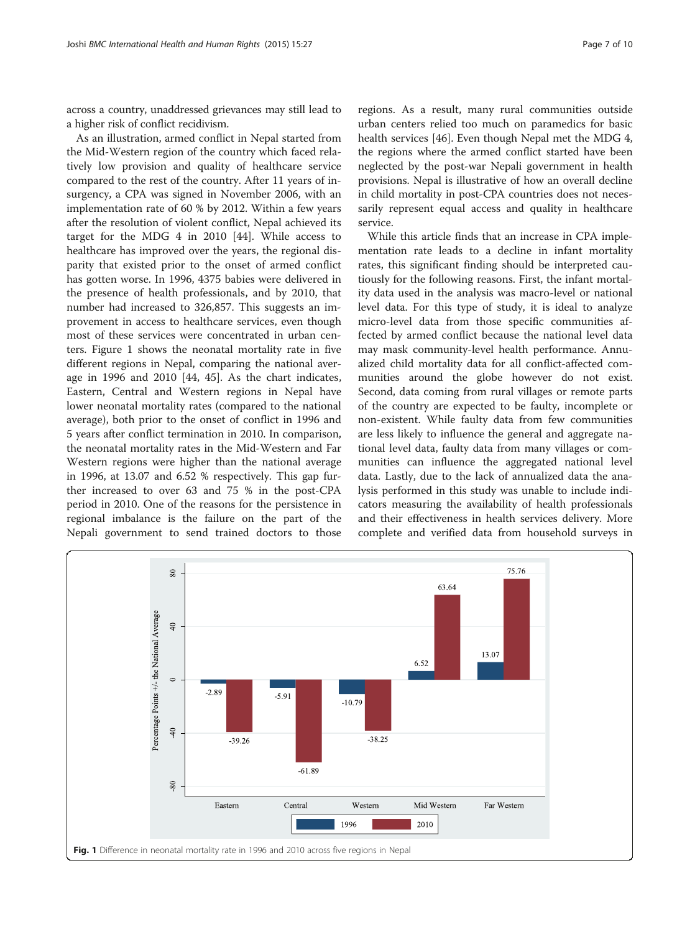across a country, unaddressed grievances may still lead to a higher risk of conflict recidivism.

As an illustration, armed conflict in Nepal started from the Mid-Western region of the country which faced relatively low provision and quality of healthcare service compared to the rest of the country. After 11 years of insurgency, a CPA was signed in November 2006, with an implementation rate of 60 % by 2012. Within a few years after the resolution of violent conflict, Nepal achieved its target for the MDG 4 in 2010 [\[44](#page-9-0)]. While access to healthcare has improved over the years, the regional disparity that existed prior to the onset of armed conflict has gotten worse. In 1996, 4375 babies were delivered in the presence of health professionals, and by 2010, that number had increased to 326,857. This suggests an improvement in access to healthcare services, even though most of these services were concentrated in urban centers. Figure 1 shows the neonatal mortality rate in five different regions in Nepal, comparing the national average in 1996 and 2010 [[44, 45](#page-9-0)]. As the chart indicates, Eastern, Central and Western regions in Nepal have lower neonatal mortality rates (compared to the national average), both prior to the onset of conflict in 1996 and 5 years after conflict termination in 2010. In comparison, the neonatal mortality rates in the Mid-Western and Far Western regions were higher than the national average in 1996, at 13.07 and 6.52 % respectively. This gap further increased to over 63 and 75 % in the post-CPA period in 2010. One of the reasons for the persistence in regional imbalance is the failure on the part of the Nepali government to send trained doctors to those

regions. As a result, many rural communities outside urban centers relied too much on paramedics for basic health services [[46\]](#page-9-0). Even though Nepal met the MDG 4, the regions where the armed conflict started have been neglected by the post-war Nepali government in health provisions. Nepal is illustrative of how an overall decline in child mortality in post-CPA countries does not necessarily represent equal access and quality in healthcare service.

While this article finds that an increase in CPA implementation rate leads to a decline in infant mortality rates, this significant finding should be interpreted cautiously for the following reasons. First, the infant mortality data used in the analysis was macro-level or national level data. For this type of study, it is ideal to analyze micro-level data from those specific communities affected by armed conflict because the national level data may mask community-level health performance. Annualized child mortality data for all conflict-affected communities around the globe however do not exist. Second, data coming from rural villages or remote parts of the country are expected to be faulty, incomplete or non-existent. While faulty data from few communities are less likely to influence the general and aggregate national level data, faulty data from many villages or communities can influence the aggregated national level data. Lastly, due to the lack of annualized data the analysis performed in this study was unable to include indicators measuring the availability of health professionals and their effectiveness in health services delivery. More complete and verified data from household surveys in

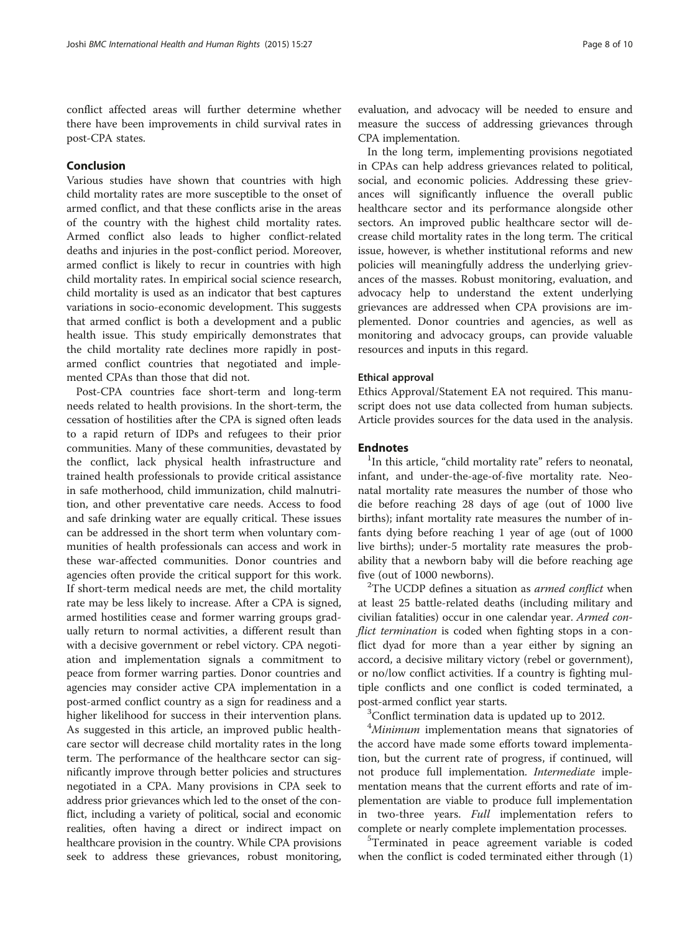conflict affected areas will further determine whether there have been improvements in child survival rates in post-CPA states.

## Conclusion

Various studies have shown that countries with high child mortality rates are more susceptible to the onset of armed conflict, and that these conflicts arise in the areas of the country with the highest child mortality rates. Armed conflict also leads to higher conflict-related deaths and injuries in the post-conflict period. Moreover, armed conflict is likely to recur in countries with high child mortality rates. In empirical social science research, child mortality is used as an indicator that best captures variations in socio-economic development. This suggests that armed conflict is both a development and a public health issue. This study empirically demonstrates that the child mortality rate declines more rapidly in postarmed conflict countries that negotiated and implemented CPAs than those that did not.

Post-CPA countries face short-term and long-term needs related to health provisions. In the short-term, the cessation of hostilities after the CPA is signed often leads to a rapid return of IDPs and refugees to their prior communities. Many of these communities, devastated by the conflict, lack physical health infrastructure and trained health professionals to provide critical assistance in safe motherhood, child immunization, child malnutrition, and other preventative care needs. Access to food and safe drinking water are equally critical. These issues can be addressed in the short term when voluntary communities of health professionals can access and work in these war-affected communities. Donor countries and agencies often provide the critical support for this work. If short-term medical needs are met, the child mortality rate may be less likely to increase. After a CPA is signed, armed hostilities cease and former warring groups gradually return to normal activities, a different result than with a decisive government or rebel victory. CPA negotiation and implementation signals a commitment to peace from former warring parties. Donor countries and agencies may consider active CPA implementation in a post-armed conflict country as a sign for readiness and a higher likelihood for success in their intervention plans. As suggested in this article, an improved public healthcare sector will decrease child mortality rates in the long term. The performance of the healthcare sector can significantly improve through better policies and structures negotiated in a CPA. Many provisions in CPA seek to address prior grievances which led to the onset of the conflict, including a variety of political, social and economic realities, often having a direct or indirect impact on healthcare provision in the country. While CPA provisions seek to address these grievances, robust monitoring,

evaluation, and advocacy will be needed to ensure and measure the success of addressing grievances through CPA implementation.

In the long term, implementing provisions negotiated in CPAs can help address grievances related to political, social, and economic policies. Addressing these grievances will significantly influence the overall public healthcare sector and its performance alongside other sectors. An improved public healthcare sector will decrease child mortality rates in the long term. The critical issue, however, is whether institutional reforms and new policies will meaningfully address the underlying grievances of the masses. Robust monitoring, evaluation, and advocacy help to understand the extent underlying grievances are addressed when CPA provisions are implemented. Donor countries and agencies, as well as monitoring and advocacy groups, can provide valuable resources and inputs in this regard.

#### Ethical approval

Ethics Approval/Statement EA not required. This manuscript does not use data collected from human subjects. Article provides sources for the data used in the analysis.

## **Endnotes**

<sup>1</sup>In this article, "child mortality rate" refers to neonatal, infant, and under-the-age-of-five mortality rate. Neonatal mortality rate measures the number of those who die before reaching 28 days of age (out of 1000 live births); infant mortality rate measures the number of infants dying before reaching 1 year of age (out of 1000 live births); under-5 mortality rate measures the probability that a newborn baby will die before reaching age five (out of 1000 newborns). <sup>2</sup>

<sup>2</sup>The UCDP defines a situation as *armed conflict* when at least 25 battle-related deaths (including military and civilian fatalities) occur in one calendar year. Armed conflict termination is coded when fighting stops in a conflict dyad for more than a year either by signing an accord, a decisive military victory (rebel or government), or no/low conflict activities. If a country is fighting multiple conflicts and one conflict is coded terminated, a post-armed conflict year starts. <sup>3</sup>

<sup>3</sup>Conflict termination data is updated up to 2012.

<sup>4</sup>Minimum implementation means that signatories of the accord have made some efforts toward implementation, but the current rate of progress, if continued, will not produce full implementation. Intermediate implementation means that the current efforts and rate of implementation are viable to produce full implementation in two-three years. Full implementation refers to complete or nearly complete implementation processes.

Terminated in peace agreement variable is coded when the conflict is coded terminated either through (1)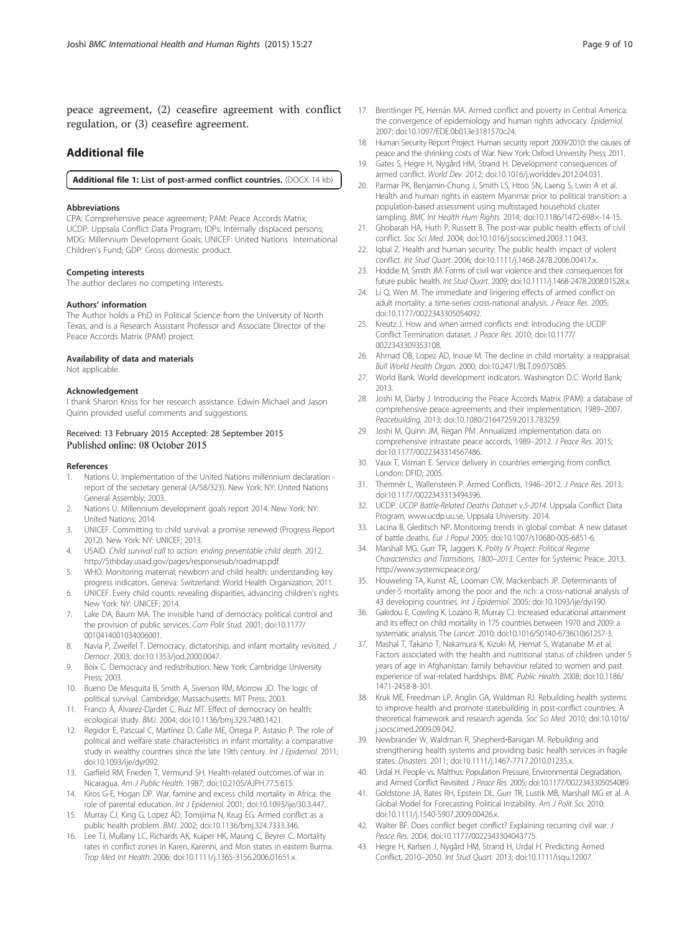<span id="page-8-0"></span>peace agreement, (2) ceasefire agreement with conflict regulation, or (3) ceasefire agreement.

## Additional file

[Additional file 1:](http://www.biomedcentral.com/content/supplementary/s12914-015-0066-7-s1.docx) List of post-armed conflict countries. (DOCX 14 kb)

#### Abbreviations

CPA: Comprehensive peace agreement; PAM: Peace Accords Matrix; UCDP: Uppsala Conflict Data Program; IDPs: Internally displaced persons; MDG: Millennium Development Goals; UNICEF: United Nations International Children's Fund; GDP: Gross domestic product.

#### Competing interests

The author declares no competing interests.

#### Authors' information

The Author holds a PhD in Political Science from the University of North Texas, and is a Research Assistant Professor and Associate Director of the Peace Accords Matrix (PAM) project.

#### Availability of data and materials

Not applicable.

#### Acknowledgement

I thank Sharon Kniss for her research assistance. Edwin Michael and Jason Quinn provided useful comments and suggestions.

### Received: 13 February 2015 Accepted: 28 September 2015 Published online: 08 October 2015

### References

- 1. Nations U. Implementation of the United Nations millennium declaration report of the secretary general (A/58/323). New York: NY: United Nations General Assembly; 2003.
- 2. Nations U. Millennium development goals report 2014. New York: NY: United Nations; 2014.
- 3. UNICEF. Committing to child survival: a promise renewed (Progress Report 2012). New York: NY: UNICEF; 2013.
- 4. USAID. Child survival call to action: ending preventable child death. 2012. [http://5thbday.usaid.gov/pages/responsesub/roadmap.pdf.](http://5thbday.usaid.gov/pages/responsesub/roadmap.pdf)
- 5. WHO. Monitoring maternal, newborn and child health: understanding key progress indicators. Geneva: Switzerland: World Health Organization; 2011.
- 6. UNICEF. Every child counts: revealing disparities, advancing children's rights. New York: NY: UNICEF; 2014.
- Lake DA, Baum MA. The invisible hand of democracy political control and the provision of public services. Com Polit Stud. 2001; doi:[10.1177/](http://dx.doi.org/10.1177/0010414001034006001) [0010414001034006001.](http://dx.doi.org/10.1177/0010414001034006001)
- 8. Navia P, Zweifel T. Democracy, dictatorship, and infant mortality revisited. J Democr. 2003; doi:[10.1353/jod.2000.0047.](http://dx.doi.org/10.1353/jod.2000.0047)
- 9. Boix C. Democracy and redistribution. New York: Cambridge University Press; 2003.
- 10. Bueno De Mesquita B, Smith A, Siverson RM, Morrow JD. The logic of political survival. Cambridge, Massachusetts: MIT Press; 2003.
- 11. Franco Á, Álvarez-Dardet C, Ruiz MT. Effect of democracy on health: ecological study. BMJ. 2004; doi[:10.1136/bmj.329.7480.1421](http://dx.doi.org/10.1136/bmj.329.7480.1421).
- 12. Regidor E, Pascual C, Martínez D, Calle ME, Ortega P, Astasio P. The role of political and welfare state characteristics in infant mortality: a comparative study in wealthy countries since the late 19th century. Int J Epidemiol. 2011; doi[:10.1093/ije/dyr092](http://dx.doi.org/10.1093/ije/dyr092).
- 13. Garfield RM, Frieden T, Vermund SH. Health-related outcomes of war in Nicaragua. Am J Public Health. 1987; doi[:10.2105/AJPH.77.5.615.](http://dx.doi.org/10.2105/AJPH.77.5.615)
- 14. Kiros G-E, Hogan DP. War, famine and excess child mortality in Africa: the role of parental education. Int J Epidemiol. 2001; doi[:10.1093/ije/30.3.447](http://dx.doi.org/10.1093/ije/30.3.447).
- 15. Murray CJ, King G, Lopez AD, Tomijima N, Krug EG. Armed conflict as a public health problem. BMJ. 2002; doi:[10.1136/bmj.324.7333.346.](http://dx.doi.org/10.1136/bmj.324.7333.346)
- 16. Lee TJ, Mullany LC, Richards AK, Kuiper HK, Maung C, Beyrer C. Mortality rates in conflict zones in Karen, Karenni, and Mon states in eastern Burma. Trop Med Int Health. 2006; doi:[10.1111/j.1365-3156.2006.01651.x](http://dx.doi.org/10.1111/j.1365-3156.2006.01651.x).
- 17. Brentlinger PE, Hernán MA. Armed conflict and poverty in Central America: the convergence of epidemiology and human rights advocacy. Epidemiol. 2007; doi[:10.1097/EDE.0b013e3181570c24](http://dx.doi.org/10.1097/EDE.0b013e3181570c24).
- 18. Human Security Report Project. Human security report 2009/2010: the causes of peace and the shrinking costs of War. New York: Oxford University Press; 2011.
- 19. Gates S, Hegre H, Nygård HM, Strand H. Development consequences of armed conflict. World Dev. 2012; doi:[10.1016/j.worlddev.2012.04.031](http://dx.doi.org/10.1016/j.worlddev.2012.04.031).
- 20. Parmar PK, Benjamin-Chung J, Smith LS, Htoo SN, Laeng S, Lwin A et al. Health and human rights in eastern Myanmar prior to political transition: a population-based assessment using multistaged household cluster sampling. BMC Int Health Hum Rights. 2014; doi:[10.1186/1472-698×-14-15.](http://dx.doi.org/10.1186/1472-698�-14-15)
- 21. Ghobarah HA, Huth P, Russett B. The post-war public health effects of civil conflict. Soc Sci Med. 2004; doi:[10.1016/j.socscimed.2003.11.043.](http://dx.doi.org/10.1016/j.socscimed.2003.11.043)
- 22. Iqbal Z. Health and human security: The public health impact of violent conflict. Int Stud Quart. 2006; doi[:10.1111/j.1468-2478.2006.00417.x.](http://dx.doi.org/10.1111/j.1468-2478.2006.00417.x)
- 23. Hoddie M, Smith JM. Forms of civil war violence and their consequences for future public health. Int Stud Quart. 2009; doi:[10.1111/j.1468-2478.2008.01528.x](http://dx.doi.org/10.1111/j.1468-2478.2008.01528.x).
- 24. Li Q, Wen M. The immediate and lingering effects of armed conflict on adult mortality: a time-series cross-national analysis. J Peace Res. 2005; doi[:10.1177/0022343305054092.](http://dx.doi.org/10.1177/0022343305054092)
- 25. Kreutz J. How and when armed conflicts end: Introducing the UCDP Conflict Termination dataset. J Peace Res. 2010; doi:[10.1177/](http://dx.doi.org/10.1177/0022343309353108) [0022343309353108](http://dx.doi.org/10.1177/0022343309353108).
- 26. Ahmad OB, Lopez AD, Inoue M. The decline in child mortality: a reappraisal. Bull World Health Organ. 2000; doi:[10.2471/BLT.09.075085.](http://dx.doi.org/10.2471/BLT.09.075085)
- 27. World Bank. World development indicators. Washington D.C: World Bank; 2013.
- 28. Joshi M, Darby J. Introducing the Peace Accords Matrix (PAM): a database of comprehensive peace agreements and their implementation, 1989–2007. Peacebuilding. 2013; doi[:10.1080/21647259.2013.783259](http://dx.doi.org/10.1080/21647259.2013.783259).
- 29. Joshi M, Quinn JM, Regan PM. Annualized implementation data on comprehensive intrastate peace accords, 1989–2012. J Peace Res. 2015; doi[:10.1177/0022343314567486.](http://dx.doi.org/10.1177/0022343314567486)
- 30. Vaux T, Visman E. Service delivery in countries emerging from conflict. London: DFID; 2005.
- 31. Themnér L, Wallensteen P. Armed Conflicts, 1946–2012. J Peace Res. 2013; doi[:10.1177/0022343313494396.](http://dx.doi.org/10.1177/0022343313494396)
- 32. UCDP. UCDP Battle-Related Deaths Dataset v.5-2014. Uppsala Conflict Data Program, [www.ucdp.uu.se](http://www.ucdp.uu.se/), Uppsala University. 2014.
- 33. Lacina B, Gleditsch NP. Monitoring trends in global combat: A new dataset of battle deaths. Eur J Popul 2005; doi[:10.1007/s10680-005-6851-6.](http://dx.doi.org/10.1007/s10680-005-6851-6)
- 34. Marshall MG, Gurr TR, Jaggers K. Polity IV Project: Political Regime Characteristics and Transitions, 1800–2013. Center for Systemic Peace. 2013. <http://www.systemicpeace.org/>
- 35. Houweling TA, Kunst AE, Looman CW, Mackenbach JP. Determinants of under-5 mortality among the poor and the rich: a cross-national analysis of 43 developing countries. Int J Epidemiol. 2005; doi[:10.1093/ije/dyi190](http://dx.doi.org/10.1093/ije/dyi190).
- 36. Gakidou E, Cowling K, Lozano R, Murray CJ. Increased educational attainment and its effect on child mortality in 175 countries between 1970 and 2009: a systematic analysis. The Lancet. 2010; doi[:10.1016/S0140-6736\(10\)61257-3](http://dx.doi.org/10.1016/S0140-6736(10)61257-3).
- 37. Mashal T, Takano T, Nakamura K, Kizuki M, Hemat S, Watanabe M et al. Factors associated with the health and nutritional status of children under 5 years of age in Afghanistan: family behaviour related to women and past experience of war-related hardships. BMC Public Health. 2008; doi:[10.1186/](http://dx.doi.org/10.1186/1471-2458-8-301) [1471-2458-8-301.](http://dx.doi.org/10.1186/1471-2458-8-301)
- 38. Kruk ME, Freedman LP, Anglin GA, Waldman RJ. Rebuilding health systems to improve health and promote statebuilding in post-conflict countries: A theoretical framework and research agenda. Soc Sci Med. 2010; doi:[10.1016/](http://dx.doi.org/10.1016/j.socscimed.2009.09.042) [j.socscimed.2009.09.042](http://dx.doi.org/10.1016/j.socscimed.2009.09.042).
- 39. Newbrander W, Waldman R, Shepherd‐Banigan M. Rebuilding and strengthening health systems and providing basic health services in fragile states. Disasters. 2011; doi:[10.1111/j.1467-7717.2010.01235.x](http://dx.doi.org/10.1111/j.1467-7717.2010.01235.x).
- 40. Urdal H. People vs. Malthus: Population Pressure, Environmental Degradation, and Armed Conflict Revisited. J Peace Res. 2005; doi:[10.1177/0022343305054089.](http://dx.doi.org/10.1177/0022343305054089)
- 41. Goldstone JA, Bates RH, Epstein DL, Gurr TR, Lustik MB, Marshall MG et al. A Global Model for Forecasting Political Instability. Am J Polit Sci. 2010; doi[:10.1111/j.1540-5907.2009.00426.x](http://dx.doi.org/10.1111/j.1540-5907.2009.00426.x).
- 42. Walter BF. Does conflict beget conflict? Explaining recurring civil war. J Peace Res. 2004; doi[:10.1177/0022343304043775.](http://dx.doi.org/10.1177/0022343304043775)
- 43. Hegre H, Karlsen J, Nygård HM, Strand H, Urdal H. Predicting Armed Conflict, 2010–2050. Int Stud Quart. 2013; doi[:10.1111/isqu.12007](http://dx.doi.org/10.1111/isqu.12007).